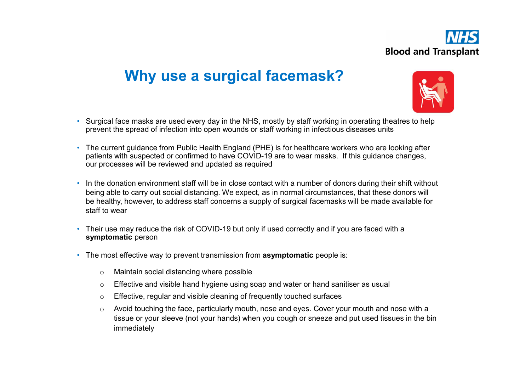

### Why use a surgical facemask?



- Surgical face masks are used every day in the NHS, mostly by staff working in operating theatres to help prevent the spread of infection into open wounds or staff working in infectious diseases units
- The current guidance from Public Health England (PHE) is for healthcare workers who are looking after patients with suspected or confirmed to have COVID-19 are to wear masks. If this guidance changes, our processes will be reviewed and updated as required
- In the donation environment staff will be in close contact with a number of donors during their shift without being able to carry out social distancing. We expect, as in normal circumstances, that these donors will be healthy, however, to address staff concerns a supply of surgical facemasks will be made available for staff to wear
- Their use may reduce the risk of COVID-19 but only if used correctly and if you are faced with a symptomatic person<br>• The most effective way to prevent transmission from **asymptomatic** people is:
- - o Maintain social distancing where possible
	- $\circ$  Effective and visible hand hygiene using soap and water or hand sanitiser as usual
	- o Effective, regular and visible cleaning of frequently touched surfaces
	- $\circ$  Avoid touching the face, particularly mouth, nose and eyes. Cover your mouth and nose with a tissue or your sleeve (not your hands) when you cough or sneeze and put used tissues in the bin immediately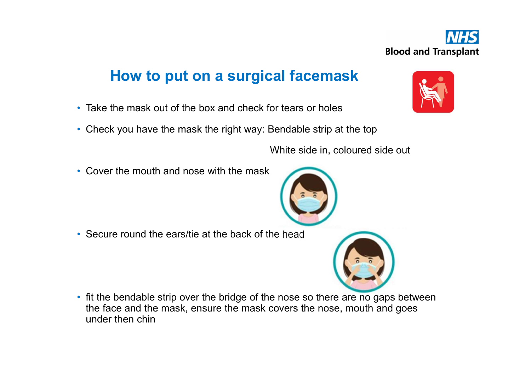

#### How to put on a surgical facemask

- Take the mask out of the box and check for tears or holes
- Check you have the mask the right way: Bendable strip at the top

White side in, coloured side out

• Cover the mouth and nose with the mask

• Secure round the ears/tie at the back of the head

• fit the bendable strip over the bridge of the nose so there are no gaps between the face and the mask, ensure the mask covers the nose, mouth and goes under then chin





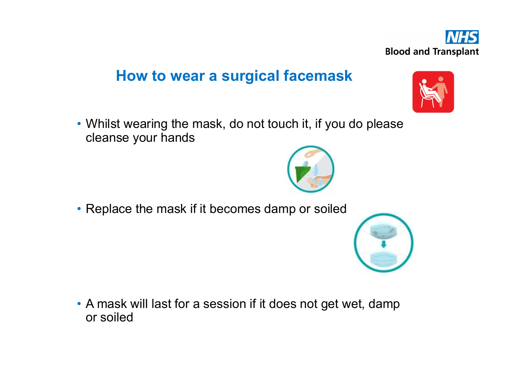

#### How to wear a surgical facemask

• Whilst wearing the mask, do not touch it, if you do please cleanse your hands

• Replace the mask if it becomes damp or soiled

• A mask will last for a session if it does not get wet, damp or soiled



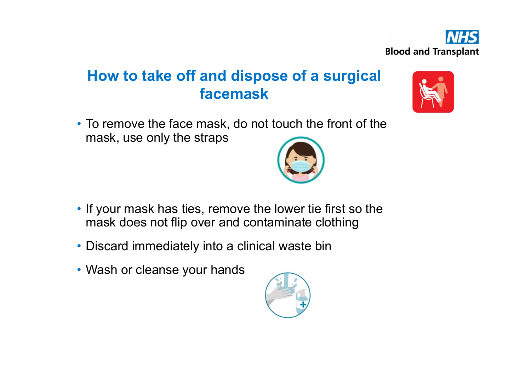

# How to take off and dispose of a surgical facemask



• To remove the face mask, do not touch the front of the mask, use only the straps



- If your mask has ties, remove the lower tie first so the mask does not flip over and contaminate clothing
- Discard immediately into a clinical waste bin
- Wash or cleanse your hands